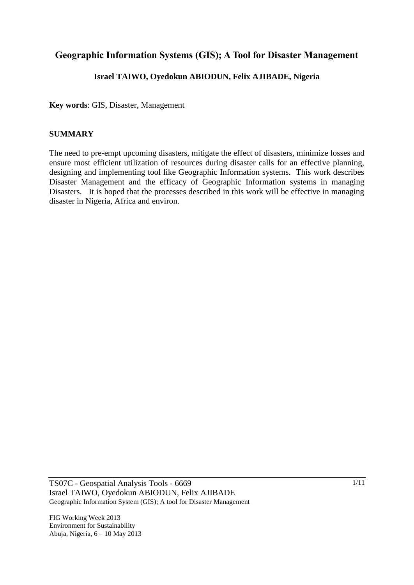## **Geographic Information Systems (GIS); A Tool for Disaster Management**

## **Israel TAIWO, Oyedokun ABIODUN, Felix AJIBADE, Nigeria**

**Key words**: GIS, Disaster, Management

## **SUMMARY**

The need to pre-empt upcoming disasters, mitigate the effect of disasters, minimize losses and ensure most efficient utilization of resources during disaster calls for an effective planning, designing and implementing tool like Geographic Information systems. This work describes Disaster Management and the efficacy of Geographic Information systems in managing Disasters. It is hoped that the processes described in this work will be effective in managing disaster in Nigeria, Africa and environ.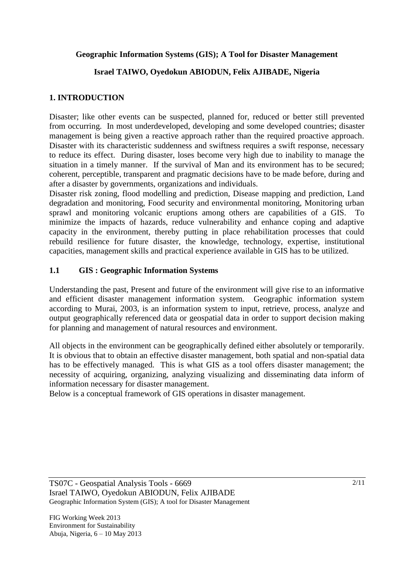## **Geographic Information Systems (GIS); A Tool for Disaster Management**

## **Israel TAIWO, Oyedokun ABIODUN, Felix AJIBADE, Nigeria**

## **1. INTRODUCTION**

Disaster; like other events can be suspected, planned for, reduced or better still prevented from occurring. In most underdeveloped, developing and some developed countries; disaster management is being given a reactive approach rather than the required proactive approach. Disaster with its characteristic suddenness and swiftness requires a swift response, necessary to reduce its effect. During disaster, loses become very high due to inability to manage the situation in a timely manner. If the survival of Man and its environment has to be secured; coherent, perceptible, transparent and pragmatic decisions have to be made before, during and after a disaster by governments, organizations and individuals.

Disaster risk zoning, flood modelling and prediction, Disease mapping and prediction, Land degradation and monitoring, Food security and environmental monitoring, Monitoring urban sprawl and monitoring volcanic eruptions among others are capabilities of a GIS. minimize the impacts of hazards, reduce vulnerability and enhance coping and adaptive capacity in the environment, thereby putting in place rehabilitation processes that could rebuild resilience for future disaster, the knowledge, technology, expertise, institutional capacities, management skills and practical experience available in GIS has to be utilized.

## **1.1 GIS : Geographic Information Systems**

Understanding the past, Present and future of the environment will give rise to an informative and efficient disaster management information system. Geographic information system according to Murai, 2003, is an information system to input, retrieve, process, analyze and output geographically referenced data or geospatial data in order to support decision making for planning and management of natural resources and environment.

All objects in the environment can be geographically defined either absolutely or temporarily. It is obvious that to obtain an effective disaster management, both spatial and non-spatial data has to be effectively managed. This is what GIS as a tool offers disaster management; the necessity of acquiring, organizing, analyzing visualizing and disseminating data inform of information necessary for disaster management.

Below is a conceptual framework of GIS operations in disaster management.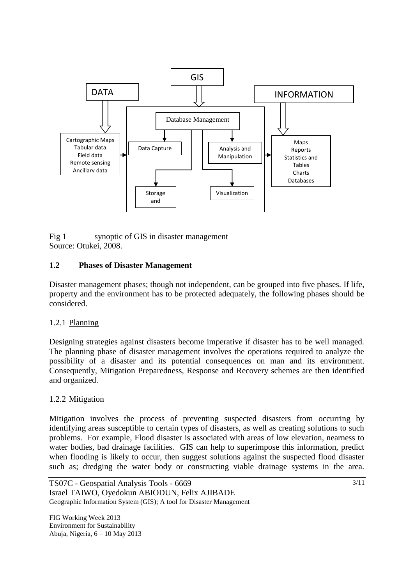

Fig 1 synoptic of GIS in disaster management Source: Otukei, 2008.

## **1.2 Phases of Disaster Management**

Disaster management phases; though not independent, can be grouped into five phases. If life, property and the environment has to be protected adequately, the following phases should be considered.

### 1.2.1 Planning

Designing strategies against disasters become imperative if disaster has to be well managed. The planning phase of disaster management involves the operations required to analyze the possibility of a disaster and its potential consequences on man and its environment. Consequently, Mitigation Preparedness, Response and Recovery schemes are then identified and organized.

### 1.2.2 Mitigation

Mitigation involves the process of preventing suspected disasters from occurring by identifying areas susceptible to certain types of disasters, as well as creating solutions to such problems. For example, Flood disaster is associated with areas of low elevation, nearness to water bodies, bad drainage facilities. GIS can help to superimpose this information, predict when flooding is likely to occur, then suggest solutions against the suspected flood disaster such as; dredging the water body or constructing viable drainage systems in the area.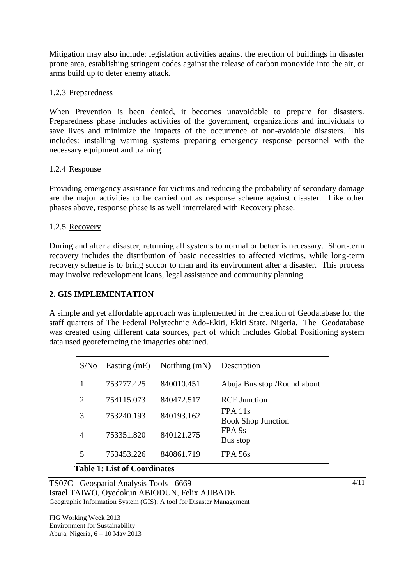Mitigation may also include: legislation activities against the erection of buildings in disaster prone area, establishing stringent codes against the release of carbon monoxide into the air, or arms build up to deter enemy attack.

## 1.2.3 Preparedness

When Prevention is been denied, it becomes unavoidable to prepare for disasters. Preparedness phase includes activities of the government, organizations and individuals to save lives and minimize the impacts of the occurrence of non-avoidable disasters. This includes: installing warning systems preparing emergency response personnel with the necessary equipment and training.

## 1.2.4 Response

Providing emergency assistance for victims and reducing the probability of secondary damage are the major activities to be carried out as response scheme against disaster. Like other phases above, response phase is as well interrelated with Recovery phase.

## 1.2.5 Recovery

During and after a disaster, returning all systems to normal or better is necessary. Short-term recovery includes the distribution of basic necessities to affected victims, while long-term recovery scheme is to bring succor to man and its environment after a disaster. This process may involve redevelopment loans, legal assistance and community planning.

## **2. GIS IMPLEMENTATION**

A simple and yet affordable approach was implemented in the creation of Geodatabase for the staff quarters of The Federal Polytechnic Ado-Ekiti, Ekiti State, Nigeria. The Geodatabase was created using different data sources, part of which includes Global Positioning system data used georeferncing the imageries obtained.

| S/No | Easting $(mE)$          | Northing $(mN)$ | Description                            |
|------|-------------------------|-----------------|----------------------------------------|
|      | 753777.425              | 840010.451      | Abuja Bus stop / Round about           |
| 2    | 754115.073              | 840472.517      | <b>RCF</b> Junction                    |
| 3    | 753240.193              | 840193.162      | $FPA$ 11s<br><b>Book Shop Junction</b> |
| 4    | 753351.820              | 840121.275      | FPA <sub>9s</sub><br>Bus stop          |
| 5    | 753453.226<br>- - - - - | 840861.719      | <b>FPA 56s</b>                         |

### **Table 1: List of Coordinates**

TS07C - Geospatial Analysis Tools - 6669 Israel TAIWO, Oyedokun ABIODUN, Felix AJIBADE Geographic Information System (GIS); A tool for Disaster Management

FIG Working Week 2013 Environment for Sustainability Abuja, Nigeria, 6 – 10 May 2013 4/11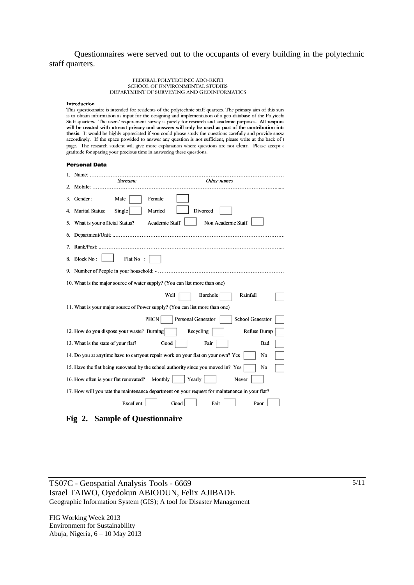Questionnaires were served out to the occupants of every building in the polytechnic staff quarters.

> FEDERAL POLYTECHNIC ADO-EKITI SCHOOL OF ENVIRONMENTAL STUDIES DEPARTMENT OF SURVEYING AND GEOINFORMATICS

#### Introduction

This questionnaire is intended for residents of the polytechnic staff quarters. The primary aim of this surv is to obtain information as input for the designing and implementation of a geo-database of the Polytechr Staff quarters. The users' requirement survey is purely for research and academic purposes. All responses Staff quarters. The users' requirement survey is purely for research and academic purposes. All responses will only thesis. It would be highly appreciated if you could please study the questions carefully and provide answe accordingly. If the space provided to answer any question is not sufficient, please write at the back of t page. The research student will give more explanation where questions are not clear. Please accept o gratitude for sparing your precious time in answering these questions.

#### **Personal Data**

|             | Name: Samuel Company<br>Surname               | Other names                                                                                    |
|-------------|-----------------------------------------------|------------------------------------------------------------------------------------------------|
| $2^{\circ}$ |                                               |                                                                                                |
| 3.          | Gender:<br>Male                               | Female                                                                                         |
|             | 4. Marital Status:<br>Single                  | Married<br>Divorced                                                                            |
| 5.          | What is your official Status?                 | Non Academic Staff<br>Academic Staff                                                           |
| 6.          |                                               |                                                                                                |
| 7.          |                                               |                                                                                                |
|             | 8. Block No:<br>Flat No:                      |                                                                                                |
|             |                                               |                                                                                                |
|             |                                               | 10. What is the major source of water supply? (You can list more than one)                     |
|             |                                               | Rainfall<br>Borehole<br>Well                                                                   |
|             |                                               | 11. What is your major source of Power supply? (You can list more than one)                    |
|             |                                               | School Generator<br><b>PHCN</b><br>Personal Generator                                          |
|             | 12. How do you dispose your waste? Burning    | Recycling<br>Refuse Dump                                                                       |
|             | 13. What is the state of your flat?           | Good<br>Fair<br>Bad                                                                            |
|             |                                               | 14. Do you at anytime have to carryout repair work on your flat on your own? Yes<br>No         |
|             |                                               | 15. Have the flat being renovated by the school authority since you moved in? Yes<br>No        |
|             | 16. How often is your flat renovated? Monthly | Yearly<br>Never                                                                                |
|             |                                               | 17. How will you rate the maintenance department on your request for maintenance in your flat? |
|             | Excellent                                     | Good  <br>Fair<br>Poor                                                                         |

 **Fig 2. Sample of Questionnaire**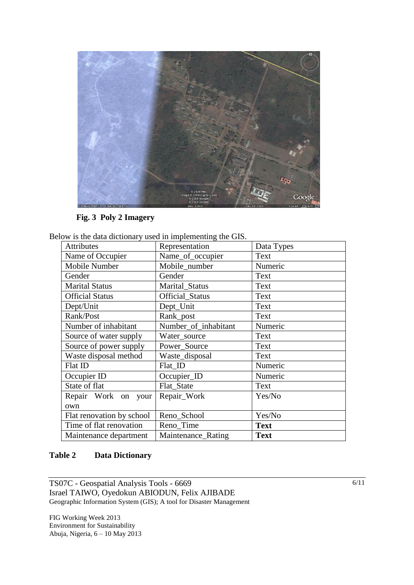

**Fig. 3 Poly 2 Imagery**

| Below is the data dictionary used in implementing the GIS. |  |  |  |  |  |  |  |  |  |
|------------------------------------------------------------|--|--|--|--|--|--|--|--|--|
|------------------------------------------------------------|--|--|--|--|--|--|--|--|--|

| <b>Attributes</b>         | Representation         | Data Types  |
|---------------------------|------------------------|-------------|
| Name of Occupier          | Name_of_occupier       | Text        |
| Mobile Number             | Mobile_number          | Numeric     |
| Gender                    | Gender                 | Text        |
| <b>Marital Status</b>     | Marital_Status         | Text        |
| <b>Official Status</b>    | <b>Official Status</b> | Text        |
| Dept/Unit                 | Dept_Unit              | Text        |
| Rank/Post                 | Rank_post              | Text        |
| Number of inhabitant      | Number_of_inhabitant   | Numeric     |
| Source of water supply    | Water_source           | Text        |
| Source of power supply    | Power_Source           | Text        |
| Waste disposal method     | Waste_disposal         | Text        |
| Flat ID                   | Flat ID                | Numeric     |
| Occupier ID               | Occupier_ID            | Numeric     |
| State of flat             | Flat_State             | Text        |
| Repair Work on your       | Repair_Work            | Yes/No      |
| own                       |                        |             |
| Flat renovation by school | Reno_School            | Yes/No      |
| Time of flat renovation   | Reno_Time              | <b>Text</b> |
| Maintenance department    | Maintenance_Rating     | <b>Text</b> |

## **Table 2 Data Dictionary**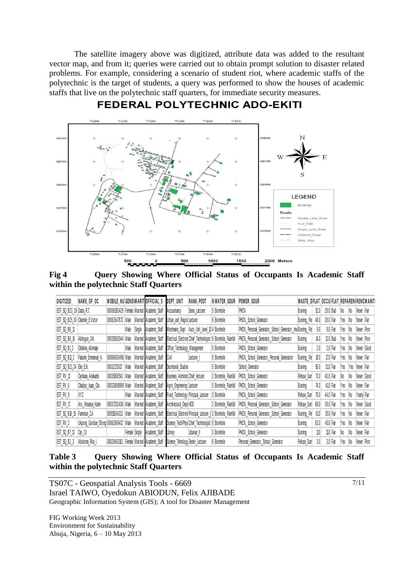The satellite imagery above was digitized, attribute data was added to the resultant vector map, and from it; queries were carried out to obtain prompt solution to disaster related problems. For example, considering a scenario of student riot, where academic staffs of the polytechnic is the target of students, a query was performed to show the houses of academic staffs that live on the polytechnic staff quarters, for immediate security measures.



## **FEDERAL POLYTECHNIC ADO-EKITI**



|                            | ithin the polytechnic Staff Quarters   |                  |               |        |                                           |                                    |                                                  |                                                                  |                                                              |                                         |        |               |     |     |              |
|----------------------------|----------------------------------------|------------------|---------------|--------|-------------------------------------------|------------------------------------|--------------------------------------------------|------------------------------------------------------------------|--------------------------------------------------------------|-----------------------------------------|--------|---------------|-----|-----|--------------|
| DIGITIZED                  | NAME OF OC                             |                  |               |        | MOBILE NU GENDIMARIT OFFICIAL S           | DEPT_UNIT                          | <b>RANK POST</b>                                 | NWATER SOUR                                                      | POWER SOUR                                                   | WASTE_DFLAT_OCCU FLAT_REPAREN(RENCMAINT |        |               |     |     |              |
| EST_SQ_B23_26 Dada_R.T.    |                                        |                  |               |        | 08066592429 Female Married Academic Staff | Accountancy                        | Senio Lecturer                                   | Borehole                                                         | PHCN                                                         | Burning                                 | 52.0   | 29.0 Bad      | No. | No  | Never Fair   |
|                            | EST_SQ_B25_30 Olamide_E.Victor         | 08062647872 Male |               |        | Married Academic_Staff                    | Urban_and_Region Lecturer          |                                                  | Borehole                                                         | PHCN, School Generator                                       | Burning, Re                             | 48.0   | 28.0 Fair     | Yes | No  | Never Fair   |
| EST_SQ_B6_11               |                                        |                  | Male          | Single | Academic_Staff                            |                                    | Mechnanic_Dept   Auto_Unit_Level_13 4   Borehole |                                                                  | PHCN, Personal_Generator, School_Generator, Invi Burning, Re |                                         | 9.0    | 9.0 Fair      | Yes | No  | Never   Poor |
| EST_SQ_B8_16 Abilogun_J.M. |                                        | 08035062944 Male |               |        | Married Academic Staff                    |                                    |                                                  | Electrical_Electron  Chief_Technologist   8   Borehole,_Rainfall | PHCN, Personal Generator, School Generator                   | Burning                                 | $40\,$ | $13.0$ $B$ ad | Yes | No  | Never   Poor |
| EST_SQ_B1_2                | Odekina Abinnaje                       |                  | Male          |        | Married Academic Staff                    | Office Technology Management       |                                                  | 5 Borehole                                                       | PHCN, School Generator                                       | Burning                                 | 2.0    | 2.0 Fair      | Yes | No  | Never Good   |
| <b>EST_SQ_B11_2</b>        | Fakunle Emmanuel A.                    | 08066693496 Male |               |        | Married Academic Staff                    | Civil                              | Lecturer II                                      | 5 Borehole                                                       | PHCN, School Generator, Personal Generaotor                  | Burning, Re                             | 18.0   | 17.0 Fair     | Yes | No  | Never Fair   |
| EST_SQ_B21_24   Eke_E.N.   |                                        | 08032172617      | Male          |        | Married Academic Staff                    | Secretarial Studies                |                                                  | 5 Borehole                                                       | School Generator                                             | Burning                                 | 56.0   | 310 Fair      | Yes | Ycs | Never   Fair |
| EST_RV_12                  | Oyinlana Adekanbi                      | 08035800541 Male |               |        | Married Academic Staff                    | Business Administ Chief lecturer   |                                                  | Borehole, Rainfall                                               | PHCN, School Generator                                       | Refuse_Dun                              | 73.0   | 40.0 Fair     | No  | No  | Never Good   |
| EST_RV_6                   | Oladipo_Isaac_Ola                      | 08033888989 Male |               |        | Married Academic Staff                    | Agric_Engineering Lecturer         |                                                  | 5 Borehole, Rainfall                                             | PHCN, School Generator                                       | Burning                                 | 74.0   | 410 Fair      | Yes | No  | Never   Fair |
| EST_RV_9                   | XYZ                                    |                  | Male          |        | Married Academic Staff                    | Food_Technology Principal_Lecturer |                                                  | Borehole                                                         | PHCN, School Generator                                       | Refuse_Dum                              | 79.0   | 44.0 Fair     | Yes | No  | Yearly Fair  |
| EST_RV_17                  | Arc._Ifesanya_Kunle                    | 08037202436 Male |               |        | Married Academic_Staff                    | Architectural_Depa HOD             |                                                  | 2   Borehole,_Rainfall                                           | PHCN, Personal Generator, School Generator                   | Refuse_Dum                              | 68.0   | 39.0 Fair     | Yes | No  | Never Good   |
| EST_SQ_B18_15              | Famokun Z.A                            | 08051934332 Male |               |        | Married Academic Staff                    |                                    |                                                  | Electrical_Electron Principal_Lecturer_(13   Borehole,_Rainfall  | PHCN, Personal Generator, School Generator                   | Burning, Re                             | 61.0   | 35.0 Fair     | Yes | No  | Never   Fair |
| EST RV 2                   | Ukpong_Gordian_Efiong 08062669417 Male |                  |               |        | Married Academic_Staff                    |                                    | Science_Tech/Phys Chief_Technologist 0           | Borehole                                                         | PHCN, School Generator                                       | Burning                                 | 82.0   | 45.0 Fair     | Yes | No  | Never Fair   |
| EST_SQ_B7_13               | 0jo 0.1                                |                  | Female Single |        | Academic Staff                            | Library                            | Libarian II                                      | 3 Borehole                                                       | PHCN, School Generator                                       | Burning                                 | 11.0   | 110 Fair      | No  | No. | Never Fair   |
| <b>EST_SQ_B2_3</b>         | Aboloma Rita I.                        | 08028463161      |               |        | Female Married Academic Staff             | Science_Tehnology Senior_Lecturer  |                                                  | Borehole                                                         | Personal_Generator,_School_Generator                         | Refuse_Dum                              | 3.0    | 3.0 Fair      | Yes | No. | Never   Poor |

**Table 3 Query Showing Where Official Status of Occupants Is Academic Staff within the polytechnic Staff Quarters**

TS07C - Geospatial Analysis Tools - 6669 Israel TAIWO, Oyedokun ABIODUN, Felix AJIBADE Geographic Information System (GIS); A tool for Disaster Management

FIG Working Week 2013 Environment for Sustainability Abuja, Nigeria, 6 – 10 May 2013 7/11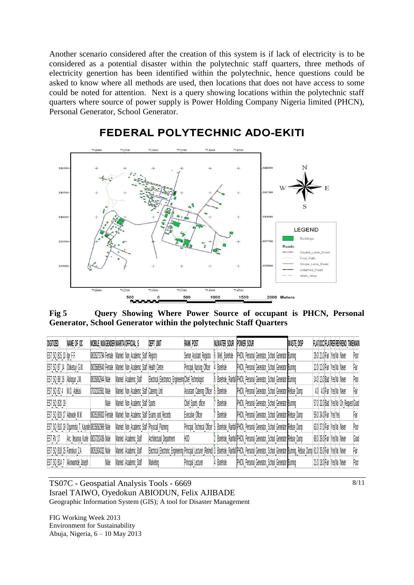Another scenario considered after the creation of this system is if lack of electricity is to be considered as a potential disaster within the polytechnic staff quarters, three methods of electricity genertion has been identified within the polytechnic, hence questions could be asked to know where all methods are used, then locations that does not have access to some could be noted for attention. Next is a query showing locations within the polytechnic staff quarters where source of power supply is Power Holding Company Nigeria limited (PHCN), Personal Generator, School Generator.



## **FEDERAL POLYTECHNIC ADO-EKITI**

**Fig 5 Query Showing Where Power Source of occupant is PHCN, Personal Generator, School Generator within the polytechnic Staff Quarters** 

| DIGITIZED                   | NAME OF OC                                            |                  |      | MOBILE NUM GENDER MARITA OFFICIAL S                         | DEPT UNIT                                                       | <b>RANK POST</b>           | NUWATER SOUR POWER SOUR |                                                                                                                                                                                 | WASTE DISP |                             | FLATOCCIFLATREFRENRENO TIME MAIN     |      |
|-----------------------------|-------------------------------------------------------|------------------|------|-------------------------------------------------------------|-----------------------------------------------------------------|----------------------------|-------------------------|---------------------------------------------------------------------------------------------------------------------------------------------------------------------------------|------------|-----------------------------|--------------------------------------|------|
| EST_SQ_B15_10  Ige_F.F.     |                                                       |                  |      | 08035273794 Female Married Non Academic Staff Registry      |                                                                 | Senior Assitant Registra   | 6 Well, Borehole        | PHCN, Personal Generator, School Generator Burning                                                                                                                              |            | 29.0 21.0 Fair Yes No Never |                                      | Poor |
| EST_SQ_B7_14 Oloketuyi_G.M. |                                                       |                  |      | 08035689540 Female Married Non Academic Staff Health Centre |                                                                 | Principal Nursing Officer  | Borehole                | PHCN, Personal Generator, School Generator Burning                                                                                                                              |            | 12.0 12.0 Fair Yes No Never |                                      | Fair |
| EST_SQ_B8_16 Abilogun_J.M.  |                                                       | 08035062944 Male |      | Married Academic_Staff                                      | Electrical Electronics EngineeringChief Technologist            |                            |                         | 8   Borehole, Rainfall PHCN, Personal Generator, School Generator Burning                                                                                                       |            | 14.0 13.0 Bad Yes No Never  |                                      | Poor |
| <b>EST SQ B24</b>           | M.O. Adelusi                                          | 07032333581 Male |      | Married Non Academic Staff Catering Unit                    |                                                                 | Assistant_Catering_Officer | 5 Borehole              | PHCN, Personal Generator, School Generator Refuse Dump                                                                                                                          |            | 4.0 4.0 Fair Yes No Never   |                                      | Fair |
| <b>EST SQ B20 19</b>        |                                                       |                  | Male | Married Non Academic Staff Sports                           |                                                                 | Chief Sports officer       | Borehole                | PHCN, Personal Generator, School Generator Burning                                                                                                                              |            |                             | 57.0 32.0 Bad Yes No On_Request Good |      |
| EST SQ B19 17 Adewole M.M.  |                                                       |                  |      |                                                             | 08035199003 Female Married Non Academic Staff Exams and Records | <b>Executive Officer</b>   | Borehole                | PHCN, Personal Generator, School Generator Refuse Dump                                                                                                                          |            | 59.0 34.0 Fair Yes Yes      |                                      | Fair |
|                             | EST_SQ_B10_19   Ogunmola_T._Kayode 08035062969   Male |                  |      | Married Non Academic Staff Physicall Planning               |                                                                 |                            |                         | Principal_Technical_Officer [5  Borehole,_Rainfall PHCN,_Personal_Generator,_School_Generator Refuse_Dump                                                                       |            | 63.0 37.0 Fair Yes No Never |                                      | Poor |
| EST_RV_17                   | Arc._lfesanya_Kunle <sup>1</sup> 08037202436 Male     |                  |      | Married Academic Staff                                      | Architectural Department                                        | HOD                        |                         | 2  Borehole, Rainfall PHCN, Personal Generator, School Generator Refuse Dump                                                                                                    |            | 68.0 39.0 Fair Yes No Never |                                      | Good |
| EST SQ B18 15 Famokun Z.A   |                                                       | 08051934332 Male |      | Married Academic Staff                                      |                                                                 |                            |                         | Electrical Electronic Engineering Principal Lecturer (Retired) 3 Borehole, Rainfall PHON, Personal Generator, School Generator Buming, Retise Dump 61.0 35.0 Fair  Yes No Never |            |                             |                                      | Fair |
|                             | EST SQ B14 7 Akinwamide Joseph                        |                  | Male | Married Academic_Staff                                      | Marketing                                                       | Principal Lecturer         | <b>Borehole</b>         | PHCN, Personal Generator, School Generator Burning                                                                                                                              |            | 21.0 18.0 Fair Yes No Never |                                      | Poor |

TS07C - Geospatial Analysis Tools - 6669 Israel TAIWO, Oyedokun ABIODUN, Felix AJIBADE Geographic Information System (GIS); A tool for Disaster Management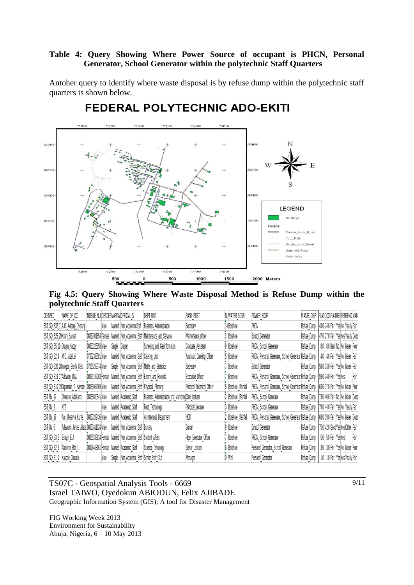## **Table 4: Query Showing Where Power Source of occupant is PHCN, Personal Generator, School Generator within the polytechnic Staff Quarters**

Antoher query to identify where waste disposal is by refuse dump within the polytechnic staff quarters is shown below.



# FEDERAL POLYTECHNIC ADO-EKITI

**Fig 4.5: Query Showing Where Waste Disposal Method is Refuse Dump within the polytechnic Staff Quarters**

| DIGITIZED                    | NAME OF OC                           | MOBILE NUMGENDERMARITALOFFICIAL S |        |                                               | DEPT UNT                                             | RANK POST                   | NUWATER SOUR         | POWER SOUR                                             | WASTE DISP  | FLATOCO FLATREFRENRENO MAIN                   |      |
|------------------------------|--------------------------------------|-----------------------------------|--------|-----------------------------------------------|------------------------------------------------------|-----------------------------|----------------------|--------------------------------------------------------|-------------|-----------------------------------------------|------|
|                              | EST_SQ_B32_11 A.O._Adedeji_Oyetunji  | Male                              |        | Married Non AcademicStaff                     | <b>Business Administration</b>                       | Secretary                   | 14 Borehole          | PHCN                                                   | Refuse Dump | 43.0 24.0 Fair Yes No Yearly Fair             |      |
| EST_SQ_B25_29 Kilani_Sakirat |                                      | 08037931854 Female                |        |                                               | Married Non_Academic_Staff Maintenance_and_Services  | Maintenance officer         | 3 Borehole           | School Generator                                       | Refuse Dump | 47.0 27.0 Fair Yes Yes Yearly Good            |      |
| EST_SQ_B5_10 Osuya_Happy     |                                      | 08053226058 Male                  | Single | Corper                                        | Surveying and Geoinformatics                         | Graduate Assistant          | 9 Borehole           | PHCN, School Generator                                 | Refuse Dump | 8.0 8.0 Bad No No Never Poor                  |      |
| EST_SQ_B2_4 M.O._Adelusi     |                                      | 07032333581 Male                  |        | Married Non_Academic_Staff Catering_Unit      |                                                      | Assistant_Catering_Officer  | 5 Borehole           | PHCN, Personal Generator, School Generator Refuse Dump |             | 4.0 4.0 Fair Yes No Never Fair                |      |
|                              | EST_SQ_B20_20 Iroegbu_Stanly_Kalu    | 07065269374 Male                  | Single |                                               | Non_Academic_Staff Maths_and_Statistics              | Secretary                   | Borehole             | School Generator                                       | Refuse Dump | 58.0 33.0 Fair Yes No Never Fair              |      |
| EST_SQ_B19_17/Adewole_M.M.   |                                      | 08035199003 Female                |        | Married Non_Academic_Staff Exams_and_Records  |                                                      | <b>Executive Officer</b>    | Borehole             | PHCN, Personal Generator, School Generator Refuse Dump |             | 59.0 34.0 Fair Yes Yes                        | Fair |
|                              | EST_SQ_B10_19 Ogunmola_T._Kayode     | 08035062969 Male                  |        | Married Non_Academic_Staff Physicall_Planning |                                                      | Principal Technical Officer | 5 Borehole, Rainfall | PHCN, Personal Generator, School Generator Refuse Dump |             | 63.0 37.0 Fair Yes No Never Poor              |      |
| EST RV 12                    | Oyinlana Adekanbi                    | 08035800541 Male                  |        | Married Academic Staff                        | Business Administration and Marketing Chief lecturer |                             | 2 Borehole, Rainfall | PHCN, School Generator                                 |             | Refuse Dump   73.0 40.0 Fair No No Never Good |      |
| EST_RV_9                     | WΖ                                   | Male                              |        | Married Academic Staff                        | Food Technology                                      | Principal Lecturer          | 3 Borehole           | PHCN, School Generator                                 |             | Refuse Dump 79.0 44.0 Fair Yes No Yearly Fair |      |
| EST_RV_17                    | Arc. lfesanya Kunle                  | 08037202436 Male                  |        | Married Academic Staff                        | Architectural Department                             | HOD                         | 2 Borehole, Rainfall | PHCN, Personal Generator, School Generator Refuse Dump |             | 68.0 39.0 Fair Yes No Never Good              |      |
| EST_RV_5                     | Adewumi_James_Alaba 08033611824 Male |                                   |        | Married Non Academic Staff Bursary            |                                                      | Bursar                      | 9 Borehole           | School Generator                                       | Refuse Dump | 75.0 42.0 Good Yes Yes Other Fair             |      |
| EST_SQ_B3_5 Eseyin_E.J.      |                                      | 08065238114 Female                |        | Married Non Academic Staff Student Affairs    |                                                      | Higer Executive Officer     | Borehole             | PHCN, School Generator                                 | Refuse Dump | 5.0 5.0 Fair Yes Yes                          | Fair |
| EST_SQ_B2_3                  | Aboloma Rita I.                      | 08028463161 Female                |        | Married Academic Staff                        | Science Tehnology                                    | Senior_Lecturer             | 6 Borehole           | Personal_Generator, School_Generator                   | Refuse_Dump | 3.0 3.0 Fair Yes No Never Poor                |      |
| EST_SQ_B1_1                  | Kayode Olusola                       | Male                              | Single | Non Academic Staff Senior Staff Club          |                                                      | Manager                     | 0 Well               | Personal Generator                                     | Refuse Dump | 1.0 1.0 Fair Yes Yes Yearly Fair              |      |

TS07C - Geospatial Analysis Tools - 6669 Israel TAIWO, Oyedokun ABIODUN, Felix AJIBADE Geographic Information System (GIS); A tool for Disaster Management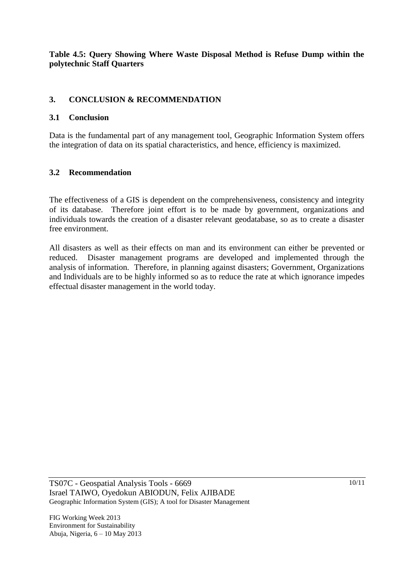## **Table 4.5: Query Showing Where Waste Disposal Method is Refuse Dump within the polytechnic Staff Quarters**

## **3. CONCLUSION & RECOMMENDATION**

## **3.1 Conclusion**

Data is the fundamental part of any management tool, Geographic Information System offers the integration of data on its spatial characteristics, and hence, efficiency is maximized.

## **3.2 Recommendation**

The effectiveness of a GIS is dependent on the comprehensiveness, consistency and integrity of its database. Therefore joint effort is to be made by government, organizations and individuals towards the creation of a disaster relevant geodatabase, so as to create a disaster free environment.

All disasters as well as their effects on man and its environment can either be prevented or reduced. Disaster management programs are developed and implemented through the analysis of information. Therefore, in planning against disasters; Government, Organizations and Individuals are to be highly informed so as to reduce the rate at which ignorance impedes effectual disaster management in the world today.